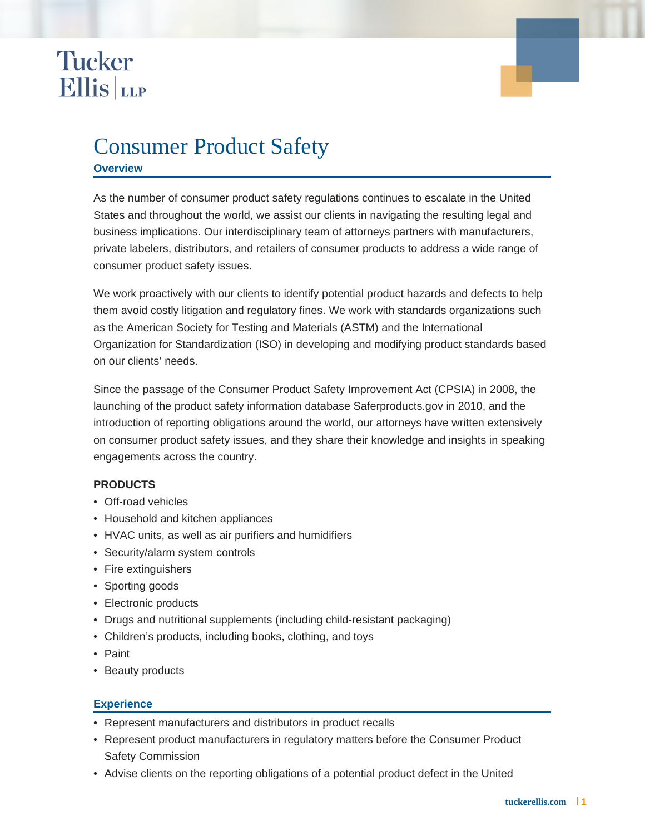## **Tucker Ellis** LLP

### Consumer Product Safety

#### **Overview**

As the number of consumer product safety regulations continues to escalate in the United States and throughout the world, we assist our clients in navigating the resulting legal and business implications. Our interdisciplinary team of attorneys partners with manufacturers, private labelers, distributors, and retailers of consumer products to address a wide range of consumer product safety issues.

We work proactively with our clients to identify potential product hazards and defects to help them avoid costly litigation and regulatory fines. We work with standards organizations such as the American Society for Testing and Materials (ASTM) and the International Organization for Standardization (ISO) in developing and modifying product standards based on our clients' needs.

Since the passage of the Consumer Product Safety Improvement Act (CPSIA) in 2008, the launching of the product safety information database Saferproducts.gov in 2010, and the introduction of reporting obligations around the world, our attorneys have written extensively on consumer product safety issues, and they share their knowledge and insights in speaking engagements across the country.

#### **PRODUCTS**

- Off-road vehicles
- Household and kitchen appliances
- HVAC units, as well as air purifiers and humidifiers
- Security/alarm system controls
- Fire extinguishers
- Sporting goods
- Electronic products
- Drugs and nutritional supplements (including child-resistant packaging)
- Children's products, including books, clothing, and toys
- Paint
- Beauty products

#### **Experience**

- Represent manufacturers and distributors in product recalls
- Represent product manufacturers in regulatory matters before the Consumer Product Safety Commission
- Advise clients on the reporting obligations of a potential product defect in the United